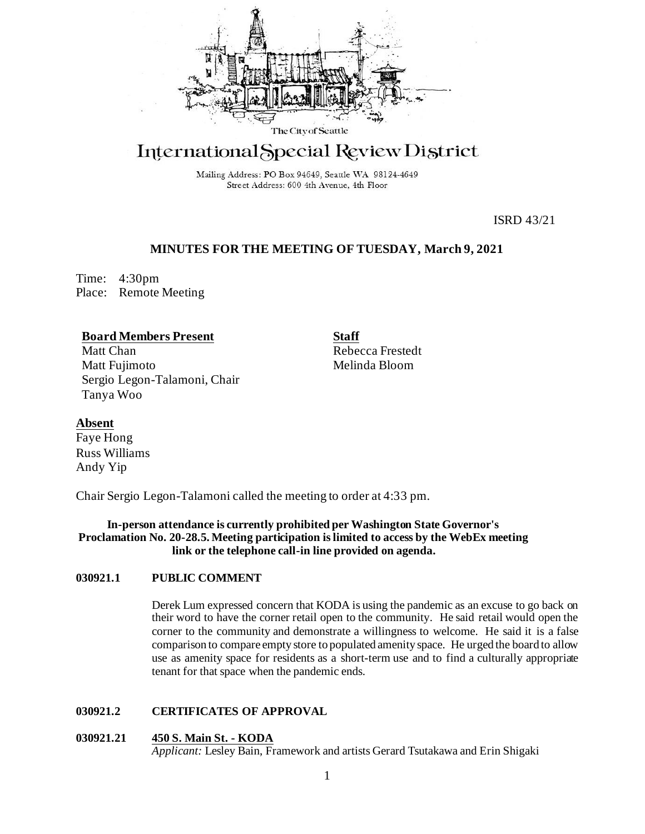

# International Special Review District

Mailing Address: PO Box 94649, Seattle WA 98124-4649 Street Address: 600 4th Avenue, 4th Floor

ISRD 43/21

# **MINUTES FOR THE MEETING OF TUESDAY, March 9, 2021**

Time: 4:30pm Place: Remote Meeting

# **Board Members Present**

Matt Chan Matt Fujimoto Sergio Legon-Talamoni, Chair Tanya Woo

**Staff** Rebecca Frestedt Melinda Bloom

# **Absent**

Faye Hong Russ Williams Andy Yip

Chair Sergio Legon-Talamoni called the meeting to order at 4:33 pm.

## **In-person attendance is currently prohibited per Washington State Governor's Proclamation No. 20-28.5. Meeting participation is limited to access by the WebEx meeting link or the telephone call-in line provided on agenda.**

## **030921.1 PUBLIC COMMENT**

Derek Lum expressed concern that KODA is using the pandemic as an excuse to go back on their word to have the corner retail open to the community. He said retail would open the corner to the community and demonstrate a willingness to welcome. He said it is a false comparison to compare empty store to populated amenity space. He urged the board to allow use as amenity space for residents as a short-term use and to find a culturally appropriate tenant for that space when the pandemic ends.

## **030921.2 CERTIFICATES OF APPROVAL**

## **030921.21 450 S. Main St. - KODA**

*Applicant:* Lesley Bain, Framework and artists Gerard Tsutakawa and Erin Shigaki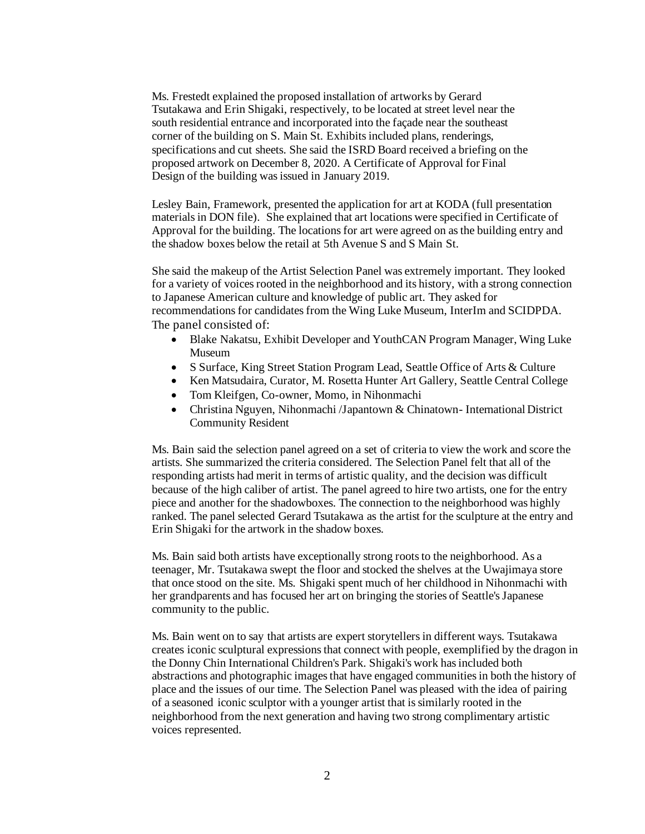Ms. Frestedt explained the proposed installation of artworks by Gerard Tsutakawa and Erin Shigaki, respectively, to be located at street level near the south residential entrance and incorporated into the façade near the southeast corner of the building on S. Main St. Exhibits included plans, renderings, specifications and cut sheets. She said the ISRD Board received a briefing on the proposed artwork on December 8, 2020. A Certificate of Approval for Final Design of the building was issued in January 2019.

Lesley Bain, Framework, presented the application for art at KODA (full presentation materials in DON file). She explained that art locations were specified in Certificate of Approval for the building. The locations for art were agreed on as the building entry and the shadow boxes below the retail at 5th Avenue S and S Main St.

She said the makeup of the Artist Selection Panel was extremely important. They looked for a variety of voices rooted in the neighborhood and its history, with a strong connection to Japanese American culture and knowledge of public art. They asked for recommendations for candidates from the Wing Luke Museum, InterIm and SCIDPDA. The panel consisted of:

- Blake Nakatsu, Exhibit Developer and YouthCAN Program Manager, Wing Luke Museum
- S Surface, King Street Station Program Lead, Seattle Office of Arts & Culture
- Ken Matsudaira, Curator, M. Rosetta Hunter Art Gallery, Seattle Central College
- Tom Kleifgen, Co-owner, Momo, in Nihonmachi
- Christina Nguyen, Nihonmachi /Japantown & Chinatown- International District Community Resident

Ms. Bain said the selection panel agreed on a set of criteria to view the work and score the artists. She summarized the criteria considered. The Selection Panel felt that all of the responding artists had merit in terms of artistic quality, and the decision was difficult because of the high caliber of artist. The panel agreed to hire two artists, one for the entry piece and another for the shadowboxes. The connection to the neighborhood was highly ranked. The panel selected Gerard Tsutakawa as the artist for the sculpture at the entry and Erin Shigaki for the artwork in the shadow boxes.

Ms. Bain said both artists have exceptionally strong roots to the neighborhood. As a teenager, Mr. Tsutakawa swept the floor and stocked the shelves at the Uwajimaya store that once stood on the site. Ms. Shigaki spent much of her childhood in Nihonmachi with her grandparents and has focused her art on bringing the stories of Seattle's Japanese community to the public.

Ms. Bain went on to say that artists are expert storytellers in different ways. Tsutakawa creates iconic sculptural expressions that connect with people, exemplified by the dragon in the Donny Chin International Children's Park. Shigaki's work has included both abstractions and photographic images that have engaged communities in both the history of place and the issues of our time. The Selection Panel was pleased with the idea of pairing of a seasoned iconic sculptor with a younger artist that is similarly rooted in the neighborhood from the next generation and having two strong complimentary artistic voices represented.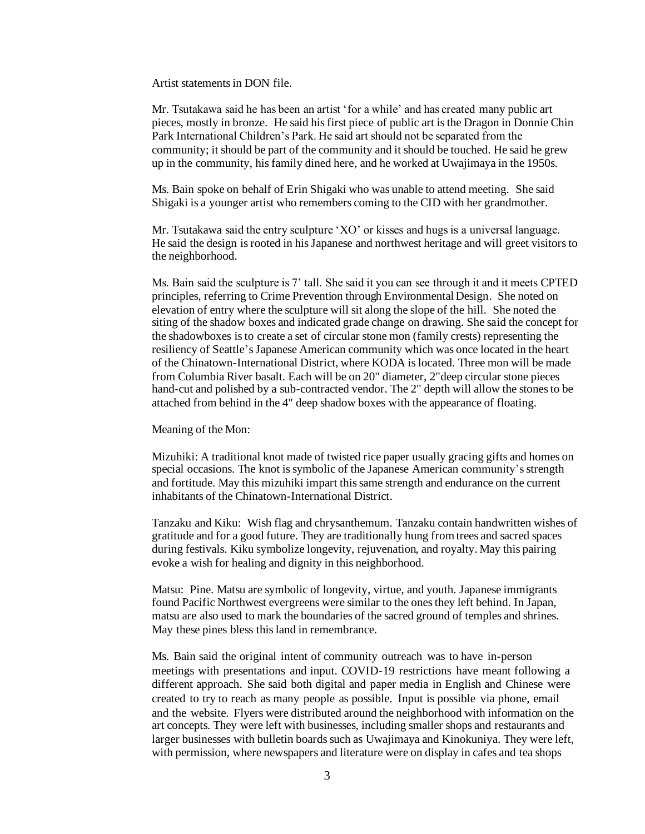Artist statements in DON file.

Mr. Tsutakawa said he has been an artist 'for a while' and has created many public art pieces, mostly in bronze. He said his first piece of public art is the Dragon in Donnie Chin Park International Children's Park. He said art should not be separated from the community; it should be part of the community and it should be touched. He said he grew up in the community, his family dined here, and he worked at Uwajimaya in the 1950s.

Ms. Bain spoke on behalf of Erin Shigaki who was unable to attend meeting. She said Shigaki is a younger artist who remembers coming to the CID with her grandmother.

Mr. Tsutakawa said the entry sculpture 'XO' or kisses and hugs is a universal language. He said the design is rooted in his Japanese and northwest heritage and will greet visitors to the neighborhood.

Ms. Bain said the sculpture is 7' tall. She said it you can see through it and it meets CPTED principles, referring to Crime Prevention through Environmental Design. She noted on elevation of entry where the sculpture will sit along the slope of the hill. She noted the siting of the shadow boxes and indicated grade change on drawing. She said the concept for the shadowboxes is to create a set of circular stone mon (family crests) representing the resiliency of Seattle's Japanese American community which was once located in the heart of the Chinatown-International District, where KODA is located. Three mon will be made from Columbia River basalt. Each will be on 20" diameter, 2"deep circular stone pieces hand-cut and polished by a sub-contracted vendor. The 2" depth will allow the stones to be attached from behind in the 4" deep shadow boxes with the appearance of floating.

Meaning of the Mon:

Mizuhiki: A traditional knot made of twisted rice paper usually gracing gifts and homes on special occasions. The knot is symbolic of the Japanese American community's strength and fortitude. May this mizuhiki impart this same strength and endurance on the current inhabitants of the Chinatown-International District.

Tanzaku and Kiku: Wish flag and chrysanthemum. Tanzaku contain handwritten wishes of gratitude and for a good future. They are traditionally hung from trees and sacred spaces during festivals. Kiku symbolize longevity, rejuvenation, and royalty. May this pairing evoke a wish for healing and dignity in this neighborhood.

Matsu: Pine. Matsu are symbolic of longevity, virtue, and youth. Japanese immigrants found Pacific Northwest evergreens were similar to the ones they left behind. In Japan, matsu are also used to mark the boundaries of the sacred ground of temples and shrines. May these pines bless this land in remembrance.

Ms. Bain said the original intent of community outreach was to have in-person meetings with presentations and input. COVID-19 restrictions have meant following a different approach. She said both digital and paper media in English and Chinese were created to try to reach as many people as possible. Input is possible via phone, email and the website. Flyers were distributed around the neighborhood with information on the art concepts. They were left with businesses, including smaller shops and restaurants and larger businesses with bulletin boards such as Uwajimaya and Kinokuniya. They were left, with permission, where newspapers and literature were on display in cafes and tea shops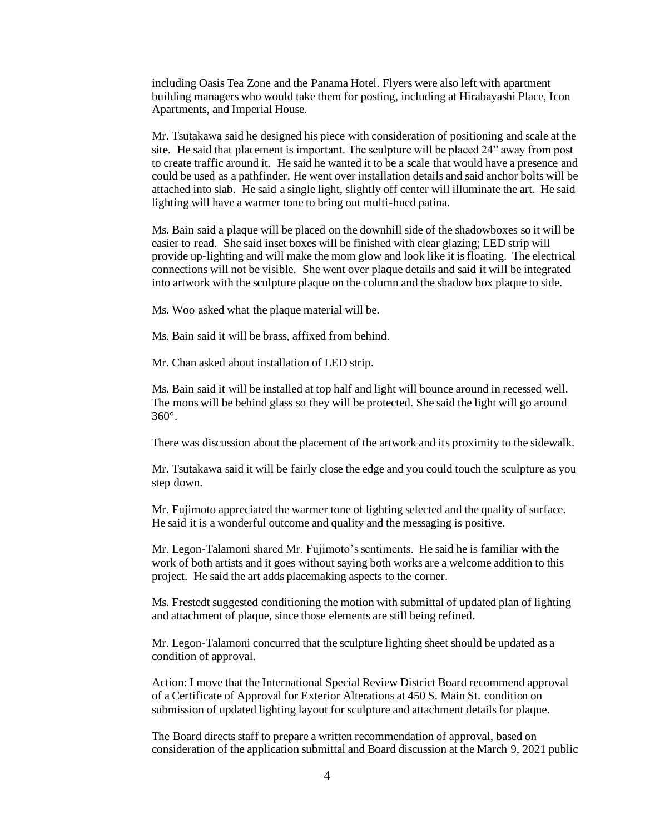including Oasis Tea Zone and the Panama Hotel. Flyers were also left with apartment building managers who would take them for posting, including at Hirabayashi Place, Icon Apartments, and Imperial House.

Mr. Tsutakawa said he designed his piece with consideration of positioning and scale at the site. He said that placement is important. The sculpture will be placed 24" away from post to create traffic around it. He said he wanted it to be a scale that would have a presence and could be used as a pathfinder. He went over installation details and said anchor bolts will be attached into slab. He said a single light, slightly off center will illuminate the art. He said lighting will have a warmer tone to bring out multi-hued patina.

Ms. Bain said a plaque will be placed on the downhill side of the shadowboxes so it will be easier to read. She said inset boxes will be finished with clear glazing; LED strip will provide up-lighting and will make the mom glow and look like it is floating. The electrical connections will not be visible. She went over plaque details and said it will be integrated into artwork with the sculpture plaque on the column and the shadow box plaque to side.

Ms. Woo asked what the plaque material will be.

Ms. Bain said it will be brass, affixed from behind.

Mr. Chan asked about installation of LED strip.

Ms. Bain said it will be installed at top half and light will bounce around in recessed well. The mons will be behind glass so they will be protected. She said the light will go around 360°.

There was discussion about the placement of the artwork and its proximity to the sidewalk.

Mr. Tsutakawa said it will be fairly close the edge and you could touch the sculpture as you step down.

Mr. Fujimoto appreciated the warmer tone of lighting selected and the quality of surface. He said it is a wonderful outcome and quality and the messaging is positive.

Mr. Legon-Talamoni shared Mr. Fujimoto's sentiments. He said he is familiar with the work of both artists and it goes without saying both works are a welcome addition to this project. He said the art adds placemaking aspects to the corner.

Ms. Frestedt suggested conditioning the motion with submittal of updated plan of lighting and attachment of plaque, since those elements are still being refined.

Mr. Legon-Talamoni concurred that the sculpture lighting sheet should be updated as a condition of approval.

Action: I move that the International Special Review District Board recommend approval of a Certificate of Approval for Exterior Alterations at 450 S. Main St. condition on submission of updated lighting layout for sculpture and attachment details for plaque.

The Board directs staff to prepare a written recommendation of approval, based on consideration of the application submittal and Board discussion at the March 9, 2021 public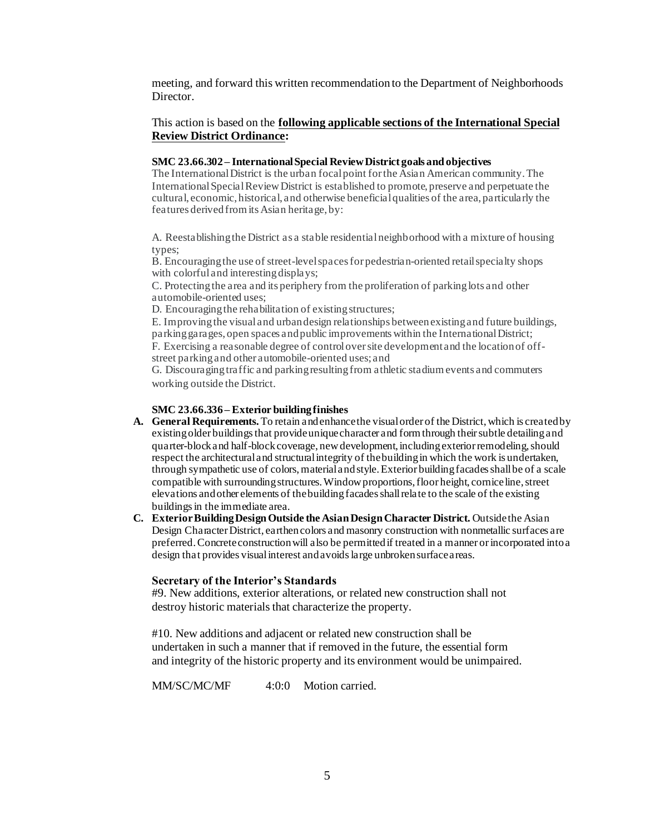meeting, and forward this written recommendation to the Department of Neighborhoods Director.

#### This action is based on the **following applicable sections of the International Special Review District Ordinance:**

#### **SMC 23.66.302 – International Special Review District goals and objectives**

The International District is the urban focal point for the Asian American community. The International Special Review District is established to promote, preserve and perpetuate the cultural, economic, historical, and otherwise beneficial qualities of the area, particularly the features derived from its Asian heritage, by:

A. Reestablishing the District as a stable residential neighborhood with a mixture of housing types;

B. Encouraging the use of street-level spaces for pedestrian-oriented retail specialty shops with colorful and interesting displays;

C. Protecting the area and its periphery from the proliferation of parking lots and other automobile-oriented uses;

D. Encouraging the rehabilitation of existing structures;

E. Improving the visual and urban design relationships between existing and future buildings, parking garages, open spaces and public improvements within the International District; F. Exercising a reasonable degree of control over site development and the location of offstreet parking and other automobile-oriented uses; and

G. Discouraging traffic and parking resulting from athletic stadium events and commuters working outside the District.

#### **SMC 23.66.336 – Exterior building finishes**

- **A. General Requirements.** To retain and enhance the visual order of the District, which is created by existing older buildings that provide unique character and form through their subtle detailing and quarter-block and half-block coverage, new development, including exterior remodeling, should respect the architectural and structural integrity of the building in which the work is undertaken, through sympathetic use of colors, material and style. Exterior building facades shall be of a scale compatible with surrounding structures. Window proportions, floor height, cornice line, street elevations and other elements of the building facades shall relate to the scale of the existing buildings in the immediate area.
- **C. Exterior Building Design Outside the Asian Design Character District.** Outside the Asian Design Character District, earthen colors and masonry construction with nonmetallic surfaces are preferred. Concrete construction will also be permitted if treated in a manner or incorporated into a design that provides visual interest and avoids large unbroken surface areas.

#### **Secretary of the Interior's Standards**

#9. New additions, exterior alterations, or related new construction shall not destroy historic materials that characterize the property.

#10. New additions and adjacent or related new construction shall be undertaken in such a manner that if removed in the future, the essential form and integrity of the historic property and its environment would be unimpaired.

MM/SC/MC/MF 4:0:0 Motion carried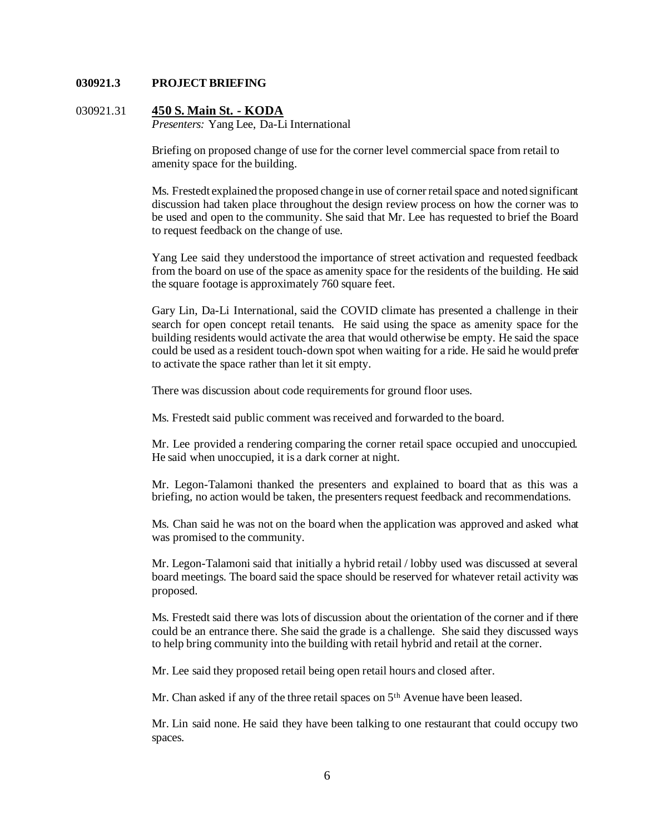#### **030921.3 PROJECT BRIEFING**

#### 030921.31 **450 S. Main St. - KODA**

*Presenters:* Yang Lee, Da-Li International

Briefing on proposed change of use for the corner level commercial space from retail to amenity space for the building.

Ms. Frestedt explained the proposed change in use of corner retail space and noted significant discussion had taken place throughout the design review process on how the corner was to be used and open to the community. She said that Mr. Lee has requested to brief the Board to request feedback on the change of use.

Yang Lee said they understood the importance of street activation and requested feedback from the board on use of the space as amenity space for the residents of the building. He said the square footage is approximately 760 square feet.

Gary Lin, Da-Li International, said the COVID climate has presented a challenge in their search for open concept retail tenants. He said using the space as amenity space for the building residents would activate the area that would otherwise be empty. He said the space could be used as a resident touch-down spot when waiting for a ride. He said he would prefer to activate the space rather than let it sit empty.

There was discussion about code requirements for ground floor uses.

Ms. Frestedt said public comment was received and forwarded to the board.

Mr. Lee provided a rendering comparing the corner retail space occupied and unoccupied. He said when unoccupied, it is a dark corner at night.

Mr. Legon-Talamoni thanked the presenters and explained to board that as this was a briefing, no action would be taken, the presenters request feedback and recommendations.

Ms. Chan said he was not on the board when the application was approved and asked what was promised to the community.

Mr. Legon-Talamoni said that initially a hybrid retail / lobby used was discussed at several board meetings. The board said the space should be reserved for whatever retail activity was proposed.

Ms. Frestedt said there was lots of discussion about the orientation of the corner and if there could be an entrance there. She said the grade is a challenge. She said they discussed ways to help bring community into the building with retail hybrid and retail at the corner.

Mr. Lee said they proposed retail being open retail hours and closed after.

Mr. Chan asked if any of the three retail spaces on  $5<sup>th</sup>$  Avenue have been leased.

Mr. Lin said none. He said they have been talking to one restaurant that could occupy two spaces.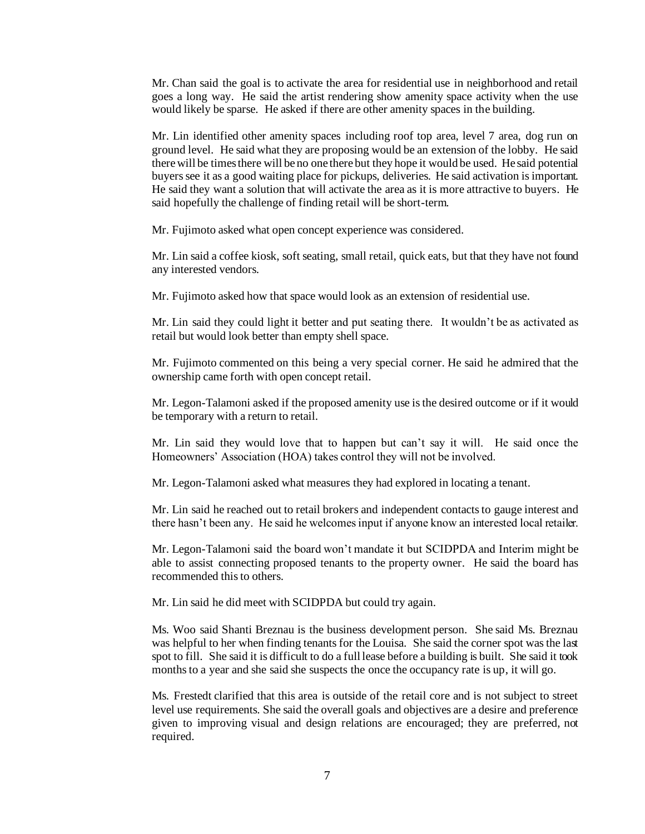Mr. Chan said the goal is to activate the area for residential use in neighborhood and retail goes a long way. He said the artist rendering show amenity space activity when the use would likely be sparse. He asked if there are other amenity spaces in the building.

Mr. Lin identified other amenity spaces including roof top area, level 7 area, dog run on ground level. He said what they are proposing would be an extension of the lobby. He said there will be times there will be no one there but they hope it would be used. He said potential buyers see it as a good waiting place for pickups, deliveries. He said activation is important. He said they want a solution that will activate the area as it is more attractive to buyers. He said hopefully the challenge of finding retail will be short-term.

Mr. Fujimoto asked what open concept experience was considered.

Mr. Lin said a coffee kiosk, soft seating, small retail, quick eats, but that they have not found any interested vendors.

Mr. Fujimoto asked how that space would look as an extension of residential use.

Mr. Lin said they could light it better and put seating there. It wouldn't be as activated as retail but would look better than empty shell space.

Mr. Fujimoto commented on this being a very special corner. He said he admired that the ownership came forth with open concept retail.

Mr. Legon-Talamoni asked if the proposed amenity use is the desired outcome or if it would be temporary with a return to retail.

Mr. Lin said they would love that to happen but can't say it will. He said once the Homeowners' Association (HOA) takes control they will not be involved.

Mr. Legon-Talamoni asked what measures they had explored in locating a tenant.

Mr. Lin said he reached out to retail brokers and independent contacts to gauge interest and there hasn't been any. He said he welcomes input if anyone know an interested local retailer.

Mr. Legon-Talamoni said the board won't mandate it but SCIDPDA and Interim might be able to assist connecting proposed tenants to the property owner. He said the board has recommended this to others.

Mr. Lin said he did meet with SCIDPDA but could try again.

Ms. Woo said Shanti Breznau is the business development person. She said Ms. Breznau was helpful to her when finding tenants for the Louisa. She said the corner spot was the last spot to fill. She said it is difficult to do a full lease before a building is built. She said it took months to a year and she said she suspects the once the occupancy rate is up, it will go.

Ms. Frestedt clarified that this area is outside of the retail core and is not subject to street level use requirements. She said the overall goals and objectives are a desire and preference given to improving visual and design relations are encouraged; they are preferred, not required.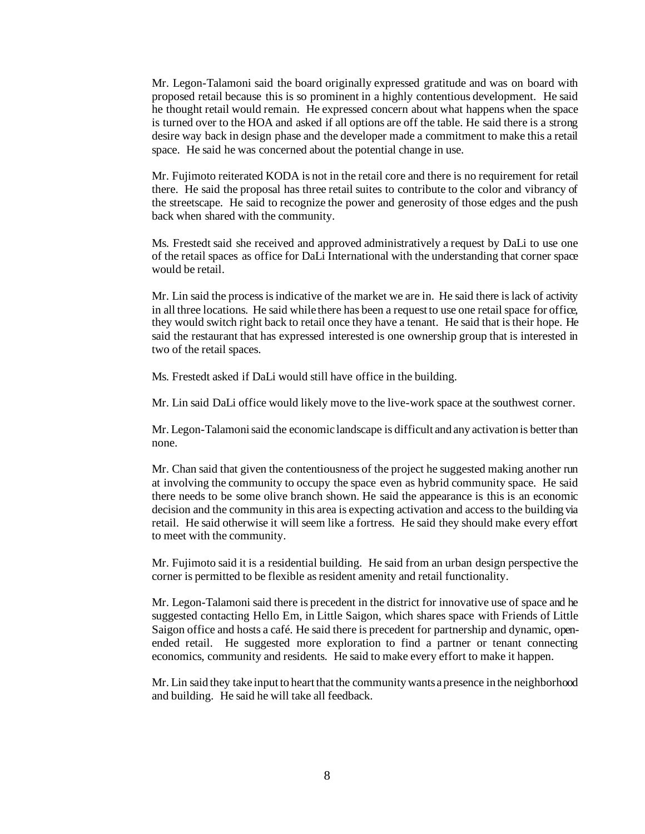Mr. Legon-Talamoni said the board originally expressed gratitude and was on board with proposed retail because this is so prominent in a highly contentious development. He said he thought retail would remain. He expressed concern about what happens when the space is turned over to the HOA and asked if all options are off the table. He said there is a strong desire way back in design phase and the developer made a commitment to make this a retail space. He said he was concerned about the potential change in use.

Mr. Fujimoto reiterated KODA is not in the retail core and there is no requirement for retail there. He said the proposal has three retail suites to contribute to the color and vibrancy of the streetscape. He said to recognize the power and generosity of those edges and the push back when shared with the community.

Ms. Frestedt said she received and approved administratively a request by DaLi to use one of the retail spaces as office for DaLi International with the understanding that corner space would be retail.

Mr. Lin said the process is indicative of the market we are in. He said there is lack of activity in all three locations. He said while there has been a request to use one retail space for office, they would switch right back to retail once they have a tenant. He said that is their hope. He said the restaurant that has expressed interested is one ownership group that is interested in two of the retail spaces.

Ms. Frestedt asked if DaLi would still have office in the building.

Mr. Lin said DaLi office would likely move to the live-work space at the southwest corner.

Mr. Legon-Talamoni said the economic landscape is difficult and any activation is better than none.

Mr. Chan said that given the contentiousness of the project he suggested making another run at involving the community to occupy the space even as hybrid community space. He said there needs to be some olive branch shown. He said the appearance is this is an economic decision and the community in this area is expecting activation and access to the building via retail. He said otherwise it will seem like a fortress. He said they should make every effort to meet with the community.

Mr. Fujimoto said it is a residential building. He said from an urban design perspective the corner is permitted to be flexible as resident amenity and retail functionality.

Mr. Legon-Talamoni said there is precedent in the district for innovative use of space and he suggested contacting Hello Em, in Little Saigon, which shares space with Friends of Little Saigon office and hosts a café. He said there is precedent for partnership and dynamic, openended retail. He suggested more exploration to find a partner or tenant connecting economics, community and residents. He said to make every effort to make it happen.

Mr. Lin said they take input to heart that the community wants a presence in the neighborhood and building. He said he will take all feedback.